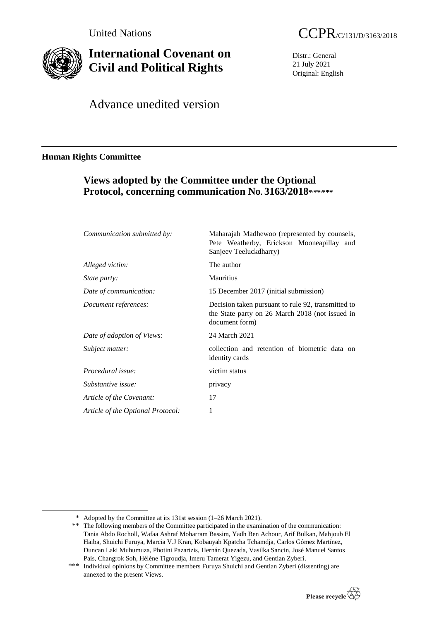

-

# **International Covenant on Civil and Political Rights**

United Nations CCPR/C/131/D/3163/2018

Distr.: General 21 July 2021 Original: English

Advance unedited version

## **Human Rights Committee**

# **Views adopted by the Committee under the Optional Protocol, concerning communication No. 3163/2018\* ,\*\*,\*\*\***

| Communication submitted by:       | Maharajah Madhewoo (represented by counsels,<br>Pete Weatherby, Erickson Mooneapillay and<br>Sanjeev Teeluckdharry)     |
|-----------------------------------|-------------------------------------------------------------------------------------------------------------------------|
| Alleged victim:                   | The author                                                                                                              |
| <i>State party:</i>               | Mauritius                                                                                                               |
| Date of communication:            | 15 December 2017 (initial submission)                                                                                   |
| Document references:              | Decision taken pursuant to rule 92, transmitted to<br>the State party on 26 March 2018 (not issued in<br>document form) |
| Date of adoption of Views:        | 24 March 2021                                                                                                           |
| Subject matter:                   | collection and retention of biometric data on<br>identity cards                                                         |
| Procedural issue:                 | victim status                                                                                                           |
| Substantive issue:                | privacy                                                                                                                 |
| Article of the Covenant:          | 17                                                                                                                      |
| Article of the Optional Protocol: | 1                                                                                                                       |

<sup>\*\*\*</sup> Individual opinions by Committee members Furuya Shuichi and Gentian Zyberi (dissenting) are annexed to the present Views.



<sup>\*</sup> Adopted by the Committee at its 131st session (1–26 March 2021).

<sup>\*\*</sup> The following members of the Committee participated in the examination of the communication: Tania Abdo Rocholl, Wafaa Ashraf Moharram Bassim, Yadh Ben Achour, Arif Bulkan, Mahjoub El Haiba, Shuichi Furuya, Marcia V.J Kran, Kobauyah Kpatcha Tchamdja, Carlos Gómez Martínez, Duncan Laki Muhumuza, Photini Pazartzis, Hernán Quezada, Vasilka Sancin, José Manuel Santos Pais, Changrok Soh, Hélène Tigroudja, Imeru Tamerat Yigezu, and Gentian Zyberi.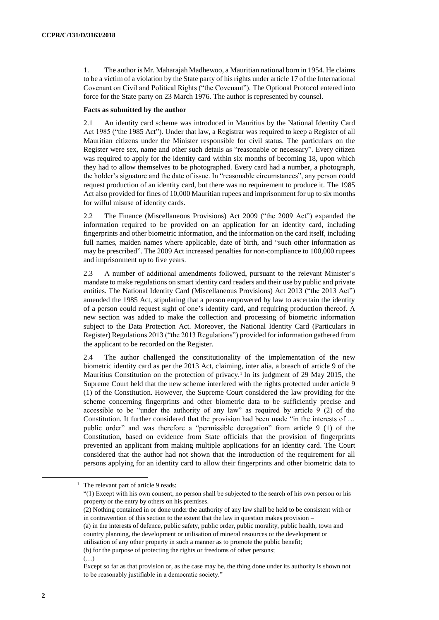1. The author is Mr. Maharajah Madhewoo, a Mauritian national born in 1954. He claims to be a victim of a violation by the State party of his rights under article 17 of the International Covenant on Civil and Political Rights ("the Covenant"). The Optional Protocol entered into force for the State party on 23 March 1976. The author is represented by counsel.

#### **Facts as submitted by the author**

2.1 An identity card scheme was introduced in Mauritius by the National Identity Card Act 1985 ("the 1985 Act"). Under that law, a Registrar was required to keep a Register of all Mauritian citizens under the Minister responsible for civil status. The particulars on the Register were sex, name and other such details as "reasonable or necessary". Every citizen was required to apply for the identity card within six months of becoming 18, upon which they had to allow themselves to be photographed. Every card had a number, a photograph, the holder's signature and the date of issue. In "reasonable circumstances", any person could request production of an identity card, but there was no requirement to produce it. The 1985 Act also provided for fines of 10,000 Mauritian rupees and imprisonment for up to six months for wilful misuse of identity cards.

2.2 The Finance (Miscellaneous Provisions) Act 2009 ("the 2009 Act") expanded the information required to be provided on an application for an identity card, including fingerprints and other biometric information, and the information on the card itself, including full names, maiden names where applicable, date of birth, and "such other information as may be prescribed". The 2009 Act increased penalties for non-compliance to 100,000 rupees and imprisonment up to five years.

2.3 A number of additional amendments followed, pursuant to the relevant Minister's mandate to make regulations on smart identity card readers and their use by public and private entities. The National Identity Card (Miscellaneous Provisions) Act 2013 ("the 2013 Act") amended the 1985 Act, stipulating that a person empowered by law to ascertain the identity of a person could request sight of one's identity card, and requiring production thereof. A new section was added to make the collection and processing of biometric information subject to the Data Protection Act. Moreover, the National Identity Card (Particulars in Register) Regulations 2013 ("the 2013 Regulations") provided for information gathered from the applicant to be recorded on the Register.

2.4 The author challenged the constitutionality of the implementation of the new biometric identity card as per the 2013 Act, claiming, inter alia, a breach of article 9 of the Mauritius Constitution on the protection of privacy.<sup>1</sup> In its judgment of 29 May 2015, the Supreme Court held that the new scheme interfered with the rights protected under article 9 (1) of the Constitution. However, the Supreme Court considered the law providing for the scheme concerning fingerprints and other biometric data to be sufficiently precise and accessible to be "under the authority of any law" as required by article 9 (2) of the Constitution. It further considered that the provision had been made "in the interests of … public order" and was therefore a "permissible derogation" from article 9 (1) of the Constitution, based on evidence from State officials that the provision of fingerprints prevented an applicant from making multiple applications for an identity card. The Court considered that the author had not shown that the introduction of the requirement for all persons applying for an identity card to allow their fingerprints and other biometric data to

(a) in the interests of defence, public safety, public order, public morality, public health, town and country planning, the development or utilisation of mineral resources or the development or

(…)

<sup>&</sup>lt;sup>1</sup> The relevant part of article 9 reads:

<sup>&</sup>quot;(1) Except with his own consent, no person shall be subjected to the search of his own person or his property or the entry by others on his premises.

<sup>(2)</sup> Nothing contained in or done under the authority of any law shall be held to be consistent with or in contravention of this section to the extent that the law in question makes provision –

utilisation of any other property in such a manner as to promote the public benefit;

<sup>(</sup>b) for the purpose of protecting the rights or freedoms of other persons;

Except so far as that provision or, as the case may be, the thing done under its authority is shown not to be reasonably justifiable in a democratic society."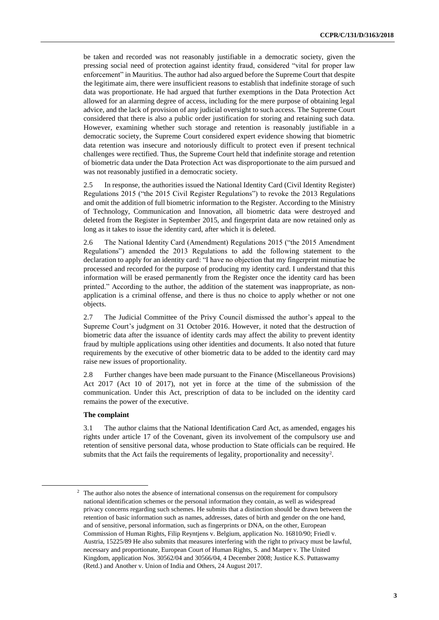be taken and recorded was not reasonably justifiable in a democratic society, given the pressing social need of protection against identity fraud, considered "vital for proper law enforcement" in Mauritius. The author had also argued before the Supreme Court that despite the legitimate aim, there were insufficient reasons to establish that indefinite storage of such data was proportionate. He had argued that further exemptions in the Data Protection Act allowed for an alarming degree of access, including for the mere purpose of obtaining legal advice, and the lack of provision of any judicial oversight to such access. The Supreme Court considered that there is also a public order justification for storing and retaining such data. However, examining whether such storage and retention is reasonably justifiable in a democratic society, the Supreme Court considered expert evidence showing that biometric data retention was insecure and notoriously difficult to protect even if present technical challenges were rectified. Thus, the Supreme Court held that indefinite storage and retention of biometric data under the Data Protection Act was disproportionate to the aim pursued and was not reasonably justified in a democratic society.

2.5 In response, the authorities issued the National Identity Card (Civil Identity Register) Regulations 2015 ("the 2015 Civil Register Regulations") to revoke the 2013 Regulations and omit the addition of full biometric information to the Register. According to the Ministry of Technology, Communication and Innovation, all biometric data were destroyed and deleted from the Register in September 2015, and fingerprint data are now retained only as long as it takes to issue the identity card, after which it is deleted.

2.6 The National Identity Card (Amendment) Regulations 2015 ("the 2015 Amendment Regulations") amended the 2013 Regulations to add the following statement to the declaration to apply for an identity card: "I have no objection that my fingerprint minutiae be processed and recorded for the purpose of producing my identity card. I understand that this information will be erased permanently from the Register once the identity card has been printed." According to the author, the addition of the statement was inappropriate, as nonapplication is a criminal offense, and there is thus no choice to apply whether or not one objects.

2.7 The Judicial Committee of the Privy Council dismissed the author's appeal to the Supreme Court's judgment on 31 October 2016. However, it noted that the destruction of biometric data after the issuance of identity cards may affect the ability to prevent identity fraud by multiple applications using other identities and documents. It also noted that future requirements by the executive of other biometric data to be added to the identity card may raise new issues of proportionality.

2.8 Further changes have been made pursuant to the Finance (Miscellaneous Provisions) Act 2017 (Act 10 of 2017), not yet in force at the time of the submission of the communication. Under this Act, prescription of data to be included on the identity card remains the power of the executive.

#### **The complaint**

-

3.1 The author claims that the National Identification Card Act, as amended, engages his rights under article 17 of the Covenant, given its involvement of the compulsory use and retention of sensitive personal data, whose production to State officials can be required. He submits that the Act fails the requirements of legality, proportionality and necessity<sup>2</sup>.

<sup>&</sup>lt;sup>2</sup> The author also notes the absence of international consensus on the requirement for compulsory national identification schemes or the personal information they contain, as well as widespread privacy concerns regarding such schemes. He submits that a distinction should be drawn between the retention of basic information such as names, addresses, dates of birth and gender on the one hand, and of sensitive, personal information, such as fingerprints or DNA, on the other, European Commission of Human Rights, Filip Reyntjens v. Belgium, application No. 16810/90; Friedl v. Austria, 15225/89 He also submits that measures interfering with the right to privacy must be lawful, necessary and proportionate, European Court of Human Rights, S. and Marper v. The United Kingdom, application Nos. 30562/04 and 30566/04, 4 December 2008; Justice K.S. Puttaswamy (Retd.) and Another v. Union of India and Others, 24 August 2017.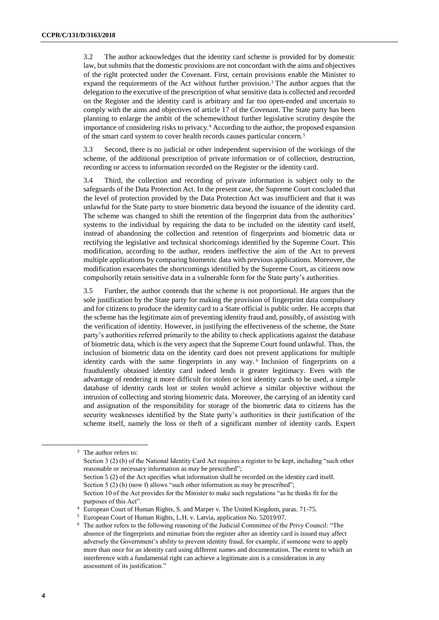3.2 The author acknowledges that the identity card scheme is provided for by domestic law, but submits that the domestic provisions are not concordant with the aims and objectives of the right protected under the Covenant. First, certain provisions enable the Minister to expand the requirements of the Act without further provision.<sup>3</sup> The author argues that the delegation to the executive of the prescription of what sensitive data is collected and recorded on the Register and the identity card is arbitrary and far too open-ended and uncertain to comply with the aims and objectives of article 17 of the Covenant. The State party has been planning to enlarge the ambit of the schemewithout further legislative scrutiny despite the importance of considering risks to privacy.<sup>4</sup> According to the author, the proposed expansion of the smart card system to cover health records causes particular concern.<sup>5</sup>

3.3 Second, there is no judicial or other independent supervision of the workings of the scheme, of the additional prescription of private information or of collection, destruction, recording or access to information recorded on the Register or the identity card.

3.4 Third, the collection and recording of private information is subject only to the safeguards of the Data Protection Act. In the present case, the Supreme Court concluded that the level of protection provided by the Data Protection Act was insufficient and that it was unlawful for the State party to store biometric data beyond the issuance of the identity card. The scheme was changed to shift the retention of the fingerprint data from the authorities' systems to the individual by requiring the data to be included on the identity card itself, instead of abandoning the collection and retention of fingerprints and biometric data or rectifying the legislative and technical shortcomings identified by the Supreme Court. This modification, according to the author, renders ineffective the aim of the Act to prevent multiple applications by comparing biometric data with previous applications. Moreover, the modification exacerbates the shortcomings identified by the Supreme Court, as citizens now compulsorily retain sensitive data in a vulnerable form for the State party's authorities.

3.5 Further, the author contends that the scheme is not proportional. He argues that the sole justification by the State party for making the provision of fingerprint data compulsory and for citizens to produce the identity card to a State official is public order. He accepts that the scheme has the legitimate aim of preventing identity fraud and, possibly, of assisting with the verification of identity. However, in justifying the effectiveness of the scheme, the State party's authorities referred primarily to the ability to check applications against the database of biometric data, which is the very aspect that the Supreme Court found unlawful. Thus, the inclusion of biometric data on the identity card does not prevent applications for multiple identity cards with the same fingerprints in any way.<sup>6</sup> Inclusion of fingerprints on a fraudulently obtained identity card indeed lends it greater legitimacy. Even with the advantage of rendering it more difficult for stolen or lost identity cards to be used, a simple database of identity cards lost or stolen would achieve a similar objective without the intrusion of collecting and storing biometric data. Moreover, the carrying of an identity card and assignation of the responsibility for storage of the biometric data to citizens has the security weaknesses identified by the State party's authorities in their justification of the scheme itself, namely the loss or theft of a significant number of identity cards. Expert

<sup>&</sup>lt;sup>3</sup> The author refers to:

Section 3 (2) (b) of the National Identity Card Act requires a register to be kept, including "such other reasonable or necessary information as may be prescribed";

Section 5 (2) of the Act specifies what information shall be recorded on the identity card itself. Section 5 (2) (h) (now f) allows "such other information as may be prescribed"; Section 10 of the Act provides for the Minister to make such regulations "as he thinks fit for the purposes of this Act".

<sup>4</sup> European Court of Human Rights, S. and Marper v. The United Kingdom, paras. 71-75.

<sup>5</sup> European Court of Human Rights, L.H. v. Latvia, application No. 52019/07.

<sup>6</sup> The author refers to the following reasoning of the Judicial Committee of the Privy Council: "The absence of the fingerprints and minutiae from the register after an identity card is issued may affect adversely the Government's ability to prevent identity fraud, for example, if someone were to apply more than once for an identity card using different names and documentation. The extent to which an interference with a fundamental right can achieve a legitimate aim is a consideration in any assessment of its justification."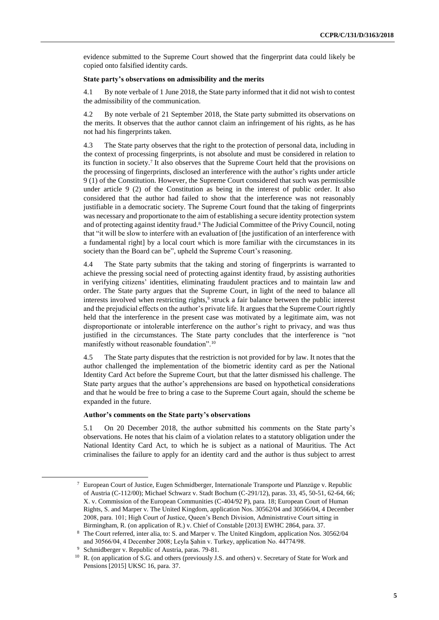evidence submitted to the Supreme Court showed that the fingerprint data could likely be copied onto falsified identity cards.

#### **State party's observations on admissibility and the merits**

4.1 By note verbale of 1 June 2018, the State party informed that it did not wish to contest the admissibility of the communication.

4.2 By note verbale of 21 September 2018, the State party submitted its observations on the merits. It observes that the author cannot claim an infringement of his rights, as he has not had his fingerprints taken.

4.3 The State party observes that the right to the protection of personal data, including in the context of processing fingerprints, is not absolute and must be considered in relation to its function in society.<sup>7</sup> It also observes that the Supreme Court held that the provisions on the processing of fingerprints, disclosed an interference with the author's rights under article 9 (1) of the Constitution. However, the Supreme Court considered that such was permissible under article 9 (2) of the Constitution as being in the interest of public order. It also considered that the author had failed to show that the interference was not reasonably justifiable in a democratic society. The Supreme Court found that the taking of fingerprints was necessary and proportionate to the aim of establishing a secure identity protection system and of protecting against identity fraud.<sup>8</sup> The Judicial Committee of the Privy Council, noting that "it will be slow to interfere with an evaluation of [the justification of an interference with a fundamental right] by a local court which is more familiar with the circumstances in its society than the Board can be", upheld the Supreme Court's reasoning.

4.4 The State party submits that the taking and storing of fingerprints is warranted to achieve the pressing social need of protecting against identity fraud, by assisting authorities in verifying citizens' identities, eliminating fraudulent practices and to maintain law and order. The State party argues that the Supreme Court, in light of the need to balance all interests involved when restricting rights,<sup>9</sup> struck a fair balance between the public interest and the prejudicial effects on the author's private life. It argues that the Supreme Court rightly held that the interference in the present case was motivated by a legitimate aim, was not disproportionate or intolerable interference on the author's right to privacy, and was thus justified in the circumstances. The State party concludes that the interference is "not manifestly without reasonable foundation".<sup>10</sup>

4.5 The State party disputes that the restriction is not provided for by law. It notes that the author challenged the implementation of the biometric identity card as per the National Identity Card Act before the Supreme Court, but that the latter dismissed his challenge. The State party argues that the author's apprehensions are based on hypothetical considerations and that he would be free to bring a case to the Supreme Court again, should the scheme be expanded in the future.

#### **Author's comments on the State party's observations**

5.1 On 20 December 2018, the author submitted his comments on the State party's observations. He notes that his claim of a violation relates to a statutory obligation under the National Identity Card Act, to which he is subject as a national of Mauritius. The Act criminalises the failure to apply for an identity card and the author is thus subject to arrest

1

<sup>7</sup> European Court of Justice, Eugen Schmidberger, Internationale Transporte und Planzüge v. Republic of Austria (C-112/00); Michael Schwarz v. Stadt Bochum (C-291/12), paras. 33, 45, 50-51, 62-64, 66; X. v. Commission of the European Communities (C-404/92 P), para. 18; European Court of Human Rights, S. and Marper v. The United Kingdom, application Nos. 30562/04 and 30566/04, 4 December 2008, para. 101; High Court of Justice, Queen's Bench Division, Administrative Court sitting in Birmingham, R. (on application of R.) v. Chief of Constable [2013] EWHC 2864, para. 37.

<sup>8</sup> The Court referred, inter alia, to: S. and Marper v. The United Kingdom, application Nos. 30562/04 and 30566/04, 4 December 2008; Leyla Şahin v. Turkey, application No. 44774/98.

Schmidberger v. Republic of Austria, paras. 79-81.

<sup>&</sup>lt;sup>10</sup> R. (on application of S.G. and others (previously J.S. and others) v. Secretary of State for Work and Pensions [2015] UKSC 16, para. 37.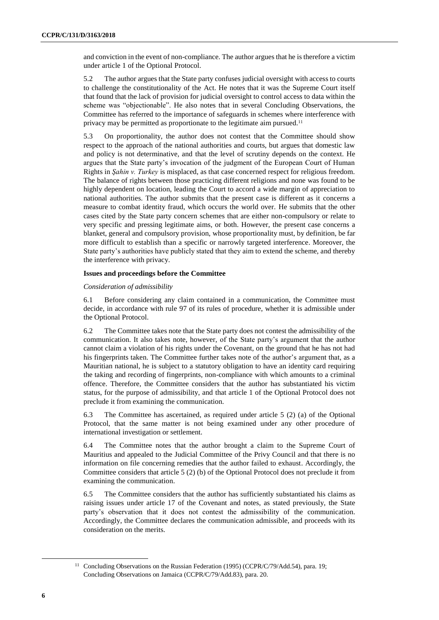and conviction in the event of non-compliance. The author argues that he is therefore a victim under article 1 of the Optional Protocol.

5.2 The author argues that the State party confuses judicial oversight with access to courts to challenge the constitutionality of the Act. He notes that it was the Supreme Court itself that found that the lack of provision for judicial oversight to control access to data within the scheme was "objectionable". He also notes that in several Concluding Observations, the Committee has referred to the importance of safeguards in schemes where interference with privacy may be permitted as proportionate to the legitimate aim pursued.<sup>11</sup>

5.3 On proportionality, the author does not contest that the Committee should show respect to the approach of the national authorities and courts, but argues that domestic law and policy is not determinative, and that the level of scrutiny depends on the context. He argues that the State party's invocation of the judgment of the European Court of Human Rights in *Şahin v. Turkey* is misplaced, as that case concerned respect for religious freedom. The balance of rights between those practicing different religions and none was found to be highly dependent on location, leading the Court to accord a wide margin of appreciation to national authorities. The author submits that the present case is different as it concerns a measure to combat identity fraud, which occurs the world over. He submits that the other cases cited by the State party concern schemes that are either non-compulsory or relate to very specific and pressing legitimate aims, or both. However, the present case concerns a blanket, general and compulsory provision, whose proportionality must, by definition, be far more difficult to establish than a specific or narrowly targeted interference. Moreover, the State party's authorities have publicly stated that they aim to extend the scheme, and thereby the interference with privacy.

#### **Issues and proceedings before the Committee**

#### *Consideration of admissibility*

6.1 Before considering any claim contained in a communication, the Committee must decide, in accordance with rule 97 of its rules of procedure, whether it is admissible under the Optional Protocol.

6.2 The Committee takes note that the State party does not contest the admissibility of the communication. It also takes note, however, of the State party's argument that the author cannot claim a violation of his rights under the Covenant, on the ground that he has not had his fingerprints taken. The Committee further takes note of the author's argument that, as a Mauritian national, he is subject to a statutory obligation to have an identity card requiring the taking and recording of fingerprints, non-compliance with which amounts to a criminal offence. Therefore, the Committee considers that the author has substantiated his victim status, for the purpose of admissibility, and that article 1 of the Optional Protocol does not preclude it from examining the communication.

6.3 The Committee has ascertained, as required under article 5 (2) (a) of the Optional Protocol, that the same matter is not being examined under any other procedure of international investigation or settlement.

6.4 The Committee notes that the author brought a claim to the Supreme Court of Mauritius and appealed to the Judicial Committee of the Privy Council and that there is no information on file concerning remedies that the author failed to exhaust. Accordingly, the Committee considers that article 5 (2) (b) of the Optional Protocol does not preclude it from examining the communication.

6.5 The Committee considers that the author has sufficiently substantiated his claims as raising issues under article 17 of the Covenant and notes, as stated previously, the State party's observation that it does not contest the admissibility of the communication. Accordingly, the Committee declares the communication admissible, and proceeds with its consideration on the merits.

<sup>&</sup>lt;sup>11</sup> Concluding Observations on the Russian Federation (1995) (CCPR/C/79/Add.54), para. 19; Concluding Observations on Jamaica (CCPR/C/79/Add.83), para. 20.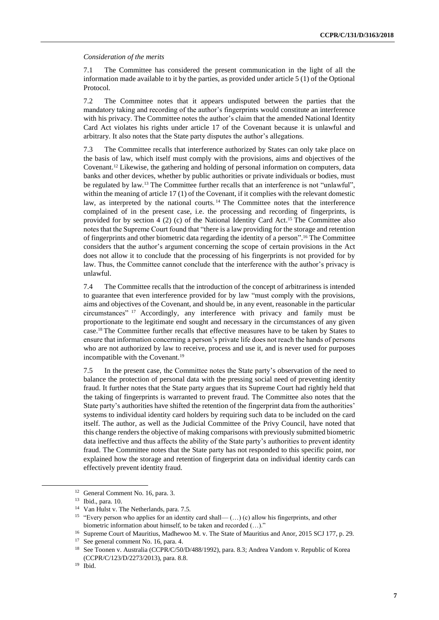#### *Consideration of the merits*

7.1 The Committee has considered the present communication in the light of all the information made available to it by the parties, as provided under article 5 (1) of the Optional Protocol.

7.2 The Committee notes that it appears undisputed between the parties that the mandatory taking and recording of the author's fingerprints would constitute an interference with his privacy. The Committee notes the author's claim that the amended National Identity Card Act violates his rights under article 17 of the Covenant because it is unlawful and arbitrary. It also notes that the State party disputes the author's allegations.

7.3 The Committee recalls that interference authorized by States can only take place on the basis of law, which itself must comply with the provisions, aims and objectives of the Covenant.<sup>12</sup> Likewise, the gathering and holding of personal information on computers, data banks and other devices, whether by public authorities or private individuals or bodies, must be regulated by law.<sup>13</sup> The Committee further recalls that an interference is not "unlawful", within the meaning of article 17 (1) of the Covenant, if it complies with the relevant domestic law, as interpreted by the national courts. <sup>14</sup> The Committee notes that the interference complained of in the present case, i.e. the processing and recording of fingerprints, is provided for by section 4 (2) (c) of the National Identity Card Act. <sup>15</sup> The Committee also notes that the Supreme Court found that "there is a law providing for the storage and retention of fingerprints and other biometric data regarding the identity of a person". <sup>16</sup> The Committee considers that the author's argument concerning the scope of certain provisions in the Act does not allow it to conclude that the processing of his fingerprints is not provided for by law. Thus, the Committee cannot conclude that the interference with the author's privacy is unlawful.

7.4 The Committee recalls that the introduction of the concept of arbitrariness is intended to guarantee that even interference provided for by law "must comply with the provisions, aims and objectives of the Covenant, and should be, in any event, reasonable in the particular circumstances" <sup>17</sup> Accordingly, any interference with privacy and family must be proportionate to the legitimate end sought and necessary in the circumstances of any given case.<sup>18</sup> The Committee further recalls that effective measures have to be taken by States to ensure that information concerning a person's private life does not reach the hands of persons who are not authorized by law to receive, process and use it, and is never used for purposes incompatible with the Covenant.<sup>19</sup>

7.5 In the present case, the Committee notes the State party's observation of the need to balance the protection of personal data with the pressing social need of preventing identity fraud. It further notes that the State party argues that its Supreme Court had rightly held that the taking of fingerprints is warranted to prevent fraud. The Committee also notes that the State party's authorities have shifted the retention of the fingerprint data from the authorities' systems to individual identity card holders by requiring such data to be included on the card itself. The author, as well as the Judicial Committee of the Privy Council, have noted that this change renders the objective of making comparisons with previously submitted biometric data ineffective and thus affects the ability of the State party's authorities to prevent identity fraud. The Committee notes that the State party has not responded to this specific point, nor explained how the storage and retention of fingerprint data on individual identity cards can effectively prevent identity fraud.

<sup>&</sup>lt;sup>12</sup> General Comment No. 16, para. 3.

<sup>13</sup> Ibid., para. 10.

<sup>14</sup> Van Hulst v. The Netherlands, para. 7.5.

<sup>&</sup>lt;sup>15</sup> "Every person who applies for an identity card shall— (...) (c) allow his fingerprints, and other biometric information about himself, to be taken and recorded (…)."

<sup>&</sup>lt;sup>16</sup> Supreme Court of Mauritius, Madhewoo M. v. The State of Mauritius and Anor, 2015 SCJ 177, p. 29.

<sup>&</sup>lt;sup>17</sup> See general comment No. 16, para. 4.

<sup>&</sup>lt;sup>18</sup> See Toonen v. Australia (CCPR/C/50/D/488/1992), para. 8.3; Andrea Vandom v. Republic of Korea (CCPR/C/123/D/2273/2013), para. 8.8.

<sup>19</sup> Ibid.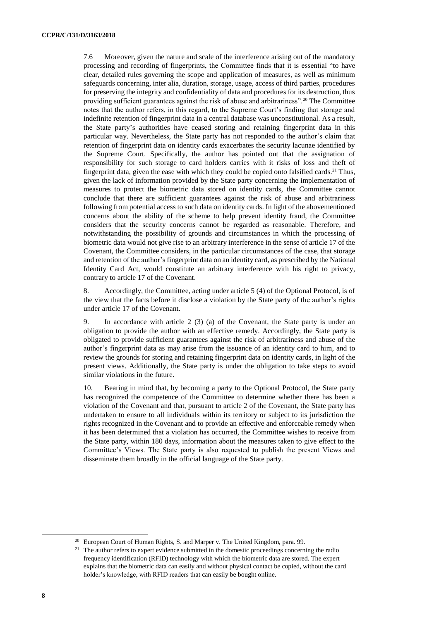7.6 Moreover, given the nature and scale of the interference arising out of the mandatory processing and recording of fingerprints, the Committee finds that it is essential "to have clear, detailed rules governing the scope and application of measures, as well as minimum safeguards concerning, inter alia, duration, storage, usage, access of third parties, procedures for preserving the integrity and confidentiality of data and procedures for its destruction, thus providing sufficient guarantees against the risk of abuse and arbitrariness".<sup>20</sup> The Committee notes that the author refers, in this regard, to the Supreme Court's finding that storage and indefinite retention of fingerprint data in a central database was unconstitutional. As a result, the State party's authorities have ceased storing and retaining fingerprint data in this particular way. Nevertheless, the State party has not responded to the author's claim that retention of fingerprint data on identity cards exacerbates the security lacunae identified by the Supreme Court. Specifically, the author has pointed out that the assignation of responsibility for such storage to card holders carries with it risks of loss and theft of fingerprint data, given the ease with which they could be copied onto falsified cards.<sup>21</sup> Thus, given the lack of information provided by the State party concerning the implementation of measures to protect the biometric data stored on identity cards, the Committee cannot conclude that there are sufficient guarantees against the risk of abuse and arbitrariness following from potential access to such data on identity cards. In light of the abovementioned concerns about the ability of the scheme to help prevent identity fraud, the Committee considers that the security concerns cannot be regarded as reasonable. Therefore, and notwithstanding the possibility of grounds and circumstances in which the processing of biometric data would not give rise to an arbitrary interference in the sense of article 17 of the Covenant, the Committee considers, in the particular circumstances of the case, that storage and retention of the author's fingerprint data on an identity card, as prescribed by the National Identity Card Act, would constitute an arbitrary interference with his right to privacy, contrary to article 17 of the Covenant.

8. Accordingly, the Committee, acting under article 5 (4) of the Optional Protocol, is of the view that the facts before it disclose a violation by the State party of the author's rights under article 17 of the Covenant.

9. In accordance with article 2 (3) (a) of the Covenant, the State party is under an obligation to provide the author with an effective remedy. Accordingly, the State party is obligated to provide sufficient guarantees against the risk of arbitrariness and abuse of the author's fingerprint data as may arise from the issuance of an identity card to him, and to review the grounds for storing and retaining fingerprint data on identity cards, in light of the present views. Additionally, the State party is under the obligation to take steps to avoid similar violations in the future.

10. Bearing in mind that, by becoming a party to the Optional Protocol, the State party has recognized the competence of the Committee to determine whether there has been a violation of the Covenant and that, pursuant to article 2 of the Covenant, the State party has undertaken to ensure to all individuals within its territory or subject to its jurisdiction the rights recognized in the Covenant and to provide an effective and enforceable remedy when it has been determined that a violation has occurred, the Committee wishes to receive from the State party, within 180 days, information about the measures taken to give effect to the Committee's Views. The State party is also requested to publish the present Views and disseminate them broadly in the official language of the State party.

<sup>&</sup>lt;sup>20</sup> European Court of Human Rights, S. and Marper v. The United Kingdom, para. 99.

<sup>&</sup>lt;sup>21</sup> The author refers to expert evidence submitted in the domestic proceedings concerning the radio frequency identification (RFID) technology with which the biometric data are stored. The expert explains that the biometric data can easily and without physical contact be copied, without the card holder's knowledge, with RFID readers that can easily be bought online.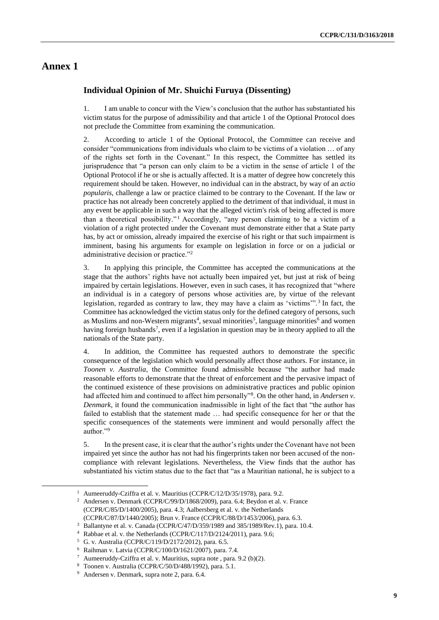### **Annex 1**

1

#### **Individual Opinion of Mr. Shuichi Furuya (Dissenting)**

1. I am unable to concur with the View's conclusion that the author has substantiated his victim status for the purpose of admissibility and that article 1 of the Optional Protocol does not preclude the Committee from examining the communication.

2. According to article 1 of the Optional Protocol, the Committee can receive and consider "communications from individuals who claim to be victims of a violation … of any of the rights set forth in the Covenant." In this respect, the Committee has settled its jurisprudence that "a person can only claim to be a victim in the sense of article 1 of the Optional Protocol if he or she is actually affected. It is a matter of degree how concretely this requirement should be taken. However, no individual can in the abstract, by way of an *actio popularis*, challenge a law or practice claimed to be contrary to the Covenant. If the law or practice has not already been concretely applied to the detriment of that individual, it must in any event be applicable in such a way that the alleged victim's risk of being affected is more than a theoretical possibility."<sup>1</sup> Accordingly, "any person claiming to be a victim of a violation of a right protected under the Covenant must demonstrate either that a State party has, by act or omission, already impaired the exercise of his right or that such impairment is imminent, basing his arguments for example on legislation in force or on a judicial or administrative decision or practice."<sup>2</sup>

<span id="page-8-0"></span>3. In applying this principle, the Committee has accepted the communications at the stage that the authors' rights have not actually been impaired yet, but just at risk of being impaired by certain legislations. However, even in such cases, it has recognized that "where an individual is in a category of persons whose activities are, by virtue of the relevant legislation, regarded as contrary to law, they may have a claim as 'victims'".<sup>3</sup> In fact, the Committee has acknowledged the victim status only for the defined category of persons, such as Muslims and non-Western migrants<sup>4</sup>, sexual minorities<sup>5</sup>, language minorities<sup>6</sup> and women having foreign husbands<sup>7</sup>, even if a legislation in question may be in theory applied to all the nationals of the State party.

4. In addition, the Committee has requested authors to demonstrate the specific consequence of the legislation which would personally affect those authors. For instance, in *Toonen v. Australia*, the Committee found admissible because "the author had made reasonable efforts to demonstrate that the threat of enforcement and the pervasive impact of the continued existence of these provisions on administrative practices and public opinion had affected him and continued to affect him personally"<sup>8</sup>. On the other hand, in *Andersen v*. *Denmark*, it found the communication inadmissible in light of the fact that "the author has failed to establish that the statement made … had specific consequence for her or that the specific consequences of the statements were imminent and would personally affect the author."<sup>9</sup>

5. In the present case, it is clear that the author's rights under the Covenant have not been impaired yet since the author has not had his fingerprints taken nor been accused of the noncompliance with relevant legislations. Nevertheless, the View finds that the author has substantiated his victim status due to the fact that "as a Mauritian national, he is subject to a

<sup>&</sup>lt;sup>1</sup> Aumeeruddy-Cziffra et al. v. Mauritius (CCPR/C/12/D/35/1978), para. 9.2.

<sup>2</sup> Andersen v. Denmark (CCPR/C/99/D/1868/2009), para. 6.4; Beydon et al. v. France (CCPR/C/85/D/1400/2005), para. 4.3; Aalbersberg et al. v. the Netherlands (CCPR/C/87/D/1440/2005); Brun v. France (CCPR/C/88/D/1453/2006), para. 6.3.

<sup>3</sup> Ballantyne et al. v. Canada (CCPR/C/47/D/359/1989 and 385/1989/Rev.1), para. 10.4.

<sup>4</sup> Rabbae et al. v. the Netherlands (CCPR/C/117/D/2124/2011), para. 9.6;

<sup>5</sup> G. v. Australia (CCPR/C/119/D/2172/2012), para. 6.5.

<sup>6</sup> Raihman v. Latvia (CCPR/C/100/D/1621/2007), para. 7.4.

Aumeeruddy-Cziffra et al. v. Mauritius, supra note , para. 9.2 (b)(2).

<sup>8</sup> Toonen v. Australia (CCPR/C/50/D/488/1992), para. 5.1.

<sup>9</sup> Andersen v. Denmark, supra not[e 2,](#page-8-0) para. 6.4.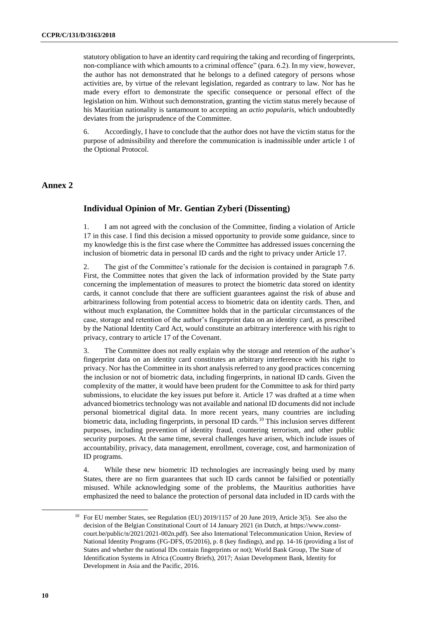statutory obligation to have an identity card requiring the taking and recording of fingerprints, non-compliance with which amounts to a criminal offence" (para. 6.2). In my view, however, the author has not demonstrated that he belongs to a defined category of persons whose activities are, by virtue of the relevant legislation, regarded as contrary to law. Nor has he made every effort to demonstrate the specific consequence or personal effect of the legislation on him. Without such demonstration, granting the victim status merely because of his Mauritian nationality is tantamount to accepting an *actio popularis*, which undoubtedly deviates from the jurisprudence of the Committee.

6. Accordingly, I have to conclude that the author does not have the victim status for the purpose of admissibility and therefore the communication is inadmissible under article 1 of the Optional Protocol.

#### **Annex 2**

#### **Individual Opinion of Mr. Gentian Zyberi (Dissenting)**

1. I am not agreed with the conclusion of the Committee, finding a violation of Article 17 in this case. I find this decision a missed opportunity to provide some guidance, since to my knowledge this is the first case where the Committee has addressed issues concerning the inclusion of biometric data in personal ID cards and the right to privacy under Article 17.

2. The gist of the Committee's rationale for the decision is contained in paragraph 7.6. First, the Committee notes that given the lack of information provided by the State party concerning the implementation of measures to protect the biometric data stored on identity cards, it cannot conclude that there are sufficient guarantees against the risk of abuse and arbitrariness following from potential access to biometric data on identity cards. Then, and without much explanation, the Committee holds that in the particular circumstances of the case, storage and retention of the author's fingerprint data on an identity card, as prescribed by the National Identity Card Act, would constitute an arbitrary interference with his right to privacy, contrary to article 17 of the Covenant.

3. The Committee does not really explain why the storage and retention of the author's fingerprint data on an identity card constitutes an arbitrary interference with his right to privacy. Nor has the Committee in its short analysis referred to any good practices concerning the inclusion or not of biometric data, including fingerprints, in national ID cards. Given the complexity of the matter, it would have been prudent for the Committee to ask for third party submissions, to elucidate the key issues put before it. Article 17 was drafted at a time when advanced biometrics technology was not available and national ID documents did not include personal biometrical digital data. In more recent years, many countries are including biometric data, including fingerprints, in personal ID cards.<sup>10</sup> This inclusion serves different purposes, including prevention of identity fraud, countering terrorism, and other public security purposes. At the same time, several challenges have arisen, which include issues of accountability, privacy, data management, enrollment, coverage, cost, and harmonization of ID programs.

4. While these new biometric ID technologies are increasingly being used by many States, there are no firm guarantees that such ID cards cannot be falsified or potentially misused. While acknowledging some of the problems, the Mauritius authorities have emphasized the need to balance the protection of personal data included in ID cards with the

<sup>&</sup>lt;sup>10</sup> For EU member States, see Regulation (EU) 2019/1157 of 20 June 2019, Article 3(5). See also the decision of the Belgian Constitutional Court of 14 January 2021 (in Dutch, at [https://www.const](https://www.const-court.be/public/n/2021/2021-002n.pdf)[court.be/public/n/2021/2021-002n.pdf\)](https://www.const-court.be/public/n/2021/2021-002n.pdf). See also International Telecommunication Union, Review of National Identity Programs (FG-DFS, 05/2016), p. 8 (key findings), and pp. 14-16 (providing a list of States and whether the national IDs contain fingerprints or not); World Bank Group, The State of Identification Systems in Africa (Country Briefs), 2017; Asian Development Bank, Identity for Development in Asia and the Pacific, 2016.